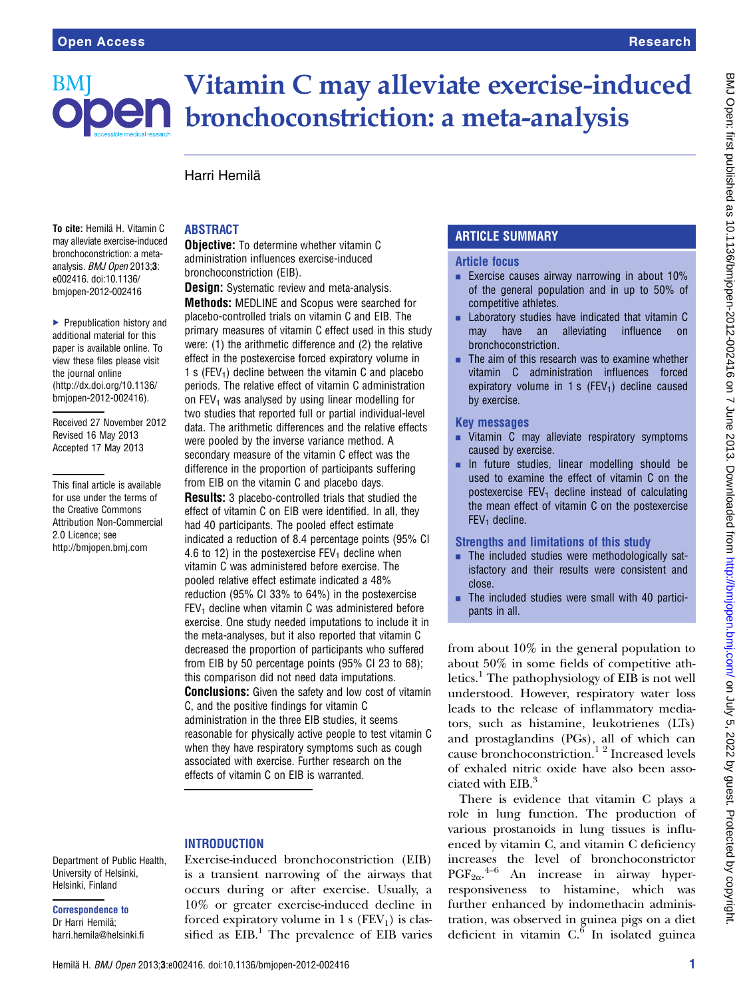# Vitamin C may alleviate exercise-induced BMI **DEN** bronchoconstriction: a meta-analysis

Harri Hemilä

To cite: Hemilä H. Vitamin C may alleviate exercise-induced bronchoconstriction: a metaanalysis. BMJ Open 2013:3: e002416. doi:10.1136/ bmjopen-2012-002416

▶ Prepublication history and additional material for this paper is available online. To view these files please visit the journal online [\(http://dx.doi.org/10.1136/](http://dx.doi.org/10.1136/bmjopen-2012-002416) [bmjopen-2012-002416](http://dx.doi.org/10.1136/bmjopen-2012-002416)).

Received 27 November 2012 Revised 16 May 2013 Accepted 17 May 2013

This final article is available for use under the terms of the Creative Commons Attribution Non-Commercial 2.0 Licence; see <http://bmjopen.bmj.com>

# ABSTRACT

**Objective:** To determine whether vitamin C administration influences exercise-induced bronchoconstriction (EIB).

**Design:** Systematic review and meta-analysis. Methods: MEDLINE and Scopus were searched for placebo-controlled trials on vitamin C and EIB. The primary measures of vitamin C effect used in this study were: (1) the arithmetic difference and (2) the relative effect in the postexercise forced expiratory volume in  $1 s$  (FEV<sub>1</sub>) decline between the vitamin C and placebo periods. The relative effect of vitamin C administration on  $FEV<sub>1</sub>$  was analysed by using linear modelling for two studies that reported full or partial individual-level data. The arithmetic differences and the relative effects were pooled by the inverse variance method. A secondary measure of the vitamin C effect was the difference in the proportion of participants suffering from EIB on the vitamin C and placebo days. Results: 3 placebo-controlled trials that studied the effect of vitamin C on EIB were identified. In all, they

had 40 participants. The pooled effect estimate indicated a reduction of 8.4 percentage points (95% CI 4.6 to 12) in the postexercise  $FEV<sub>1</sub>$  decline when vitamin C was administered before exercise. The pooled relative effect estimate indicated a 48% reduction (95% CI 33% to 64%) in the postexercise  $FEV<sub>1</sub>$  decline when vitamin C was administered before exercise. One study needed imputations to include it in the meta-analyses, but it also reported that vitamin C decreased the proportion of participants who suffered from EIB by 50 percentage points (95% CI 23 to 68); this comparison did not need data imputations.

**Conclusions:** Given the safety and low cost of vitamin C, and the positive findings for vitamin C administration in the three EIB studies, it seems reasonable for physically active people to test vitamin C when they have respiratory symptoms such as cough associated with exercise. Further research on the effects of vitamin C on EIB is warranted.

# **INTRODUCTION**

Department of Public Health, University of Helsinki, Helsinki, Finland

#### Correspondence to Dr Harri Hemilä; harri.hemila@helsinki.fi

Exercise-induced bronchoconstriction (EIB) is a transient narrowing of the airways that occurs during or after exercise. Usually, a 10% or greater exercise-induced decline in forced expiratory volume in 1 s  $(FEV_1)$  is classified as  $EIB$ <sup>1</sup>. The prevalence of  $EIB$  varies

# ARTICLE SUMMARY

#### Article focus

- **Exercise causes airway narrowing in about 10%** of the general population and in up to 50% of competitive athletes.
- **EXECUTE:** Laboratory studies have indicated that vitamin C may have an alleviating influence on bronchoconstriction.
- $\blacksquare$  The aim of this research was to examine whether vitamin C administration influences forced expiratory volume in 1 s  $(FEV_1)$  decline caused by exercise.

### Key messages

- **EXTERGHEET COMBO VIET META** Vitamin C may alleviate respiratory symptoms caused by exercise.
- **In future studies, linear modelling should be** used to examine the effect of vitamin C on the postexercise  $FEV<sub>1</sub>$  decline instead of calculating the mean effect of vitamin C on the postexercise  $FEV<sub>1</sub>$  decline.

# Strengths and limitations of this study

- $\blacksquare$  The included studies were methodologically satisfactory and their results were consistent and close.
- $\blacksquare$  The included studies were small with 40 participants in all.

from about 10% in the general population to about 50% in some fields of competitive athletics.<sup>1</sup> The pathophysiology of EIB is not well understood. However, respiratory water loss leads to the release of inflammatory mediators, such as histamine, leukotrienes (LTs) and prostaglandins (PGs), all of which can cause bronchoconstriction.1 2 Increased levels of exhaled nitric oxide have also been associated with EIB.<sup>3</sup>

There is evidence that vitamin C plays a role in lung function. The production of various prostanoids in lung tissues is influenced by vitamin C, and vitamin C deficiency increases the level of bronchoconstrictor PGF<sub>2α</sub>.<sup>4-6</sup> An increase in airway hyperresponsiveness to histamine, which was further enhanced by indomethacin administration, was observed in guinea pigs on a diet deficient in vitamin  $C<sup>6</sup>$  In isolated guinea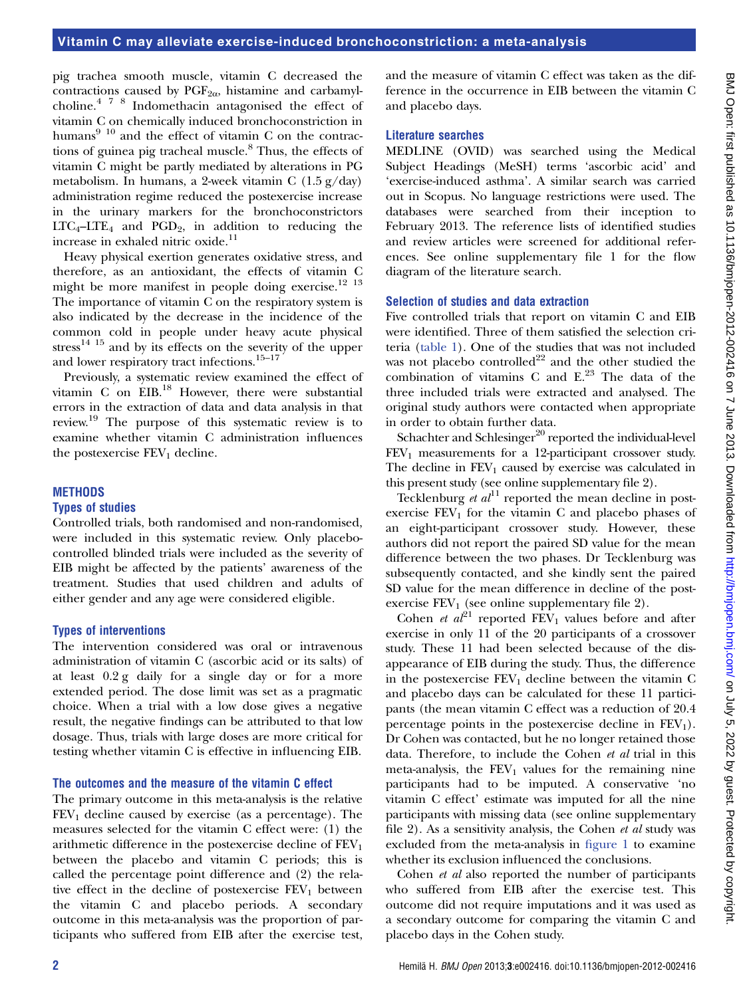pig trachea smooth muscle, vitamin C decreased the contractions caused by  $PGF_{2\alpha}$ , histamine and carbamylcholine.<sup>478</sup> Indomethacin antagonised the effect of vitamin C on chemically induced bronchoconstriction in humans $910$  and the effect of vitamin C on the contractions of guinea pig tracheal muscle.<sup>8</sup> Thus, the effects of vitamin C might be partly mediated by alterations in PG metabolism. In humans, a 2-week vitamin C  $(1.5 \text{ g/day})$ administration regime reduced the postexercise increase in the urinary markers for the bronchoconstrictors  $LTC<sub>4</sub>-LTE<sub>4</sub>$  and  $PGD<sub>2</sub>$ , in addition to reducing the increase in exhaled nitric oxide.<sup>11</sup>

Heavy physical exertion generates oxidative stress, and therefore, as an antioxidant, the effects of vitamin C might be more manifest in people doing exercise.12 13 The importance of vitamin C on the respiratory system is also indicated by the decrease in the incidence of the common cold in people under heavy acute physical stress $^{14}$  <sup>15</sup> and by its effects on the severity of the upper and lower respiratory tract infections.<sup>15-17</sup>

Previously, a systematic review examined the effect of vitamin C on EIB.<sup>18</sup> However, there were substantial errors in the extraction of data and data analysis in that review.<sup>19</sup> The purpose of this systematic review is to examine whether vitamin C administration influences the postexercise  $FEV<sub>1</sub>$  decline.

#### **METHODS**

#### Types of studies

Controlled trials, both randomised and non-randomised, were included in this systematic review. Only placebocontrolled blinded trials were included as the severity of EIB might be affected by the patients' awareness of the treatment. Studies that used children and adults of either gender and any age were considered eligible.

#### Types of interventions

The intervention considered was oral or intravenous administration of vitamin C (ascorbic acid or its salts) of at least 0.2 g daily for a single day or for a more extended period. The dose limit was set as a pragmatic choice. When a trial with a low dose gives a negative result, the negative findings can be attributed to that low dosage. Thus, trials with large doses are more critical for testing whether vitamin C is effective in influencing EIB.

#### The outcomes and the measure of the vitamin C effect

The primary outcome in this meta-analysis is the relative  $FEV<sub>1</sub>$  decline caused by exercise (as a percentage). The measures selected for the vitamin C effect were: (1) the arithmetic difference in the postexercise decline of  $FEV<sub>1</sub>$ between the placebo and vitamin C periods; this is called the percentage point difference and (2) the relative effect in the decline of postexercise  $FEV<sub>1</sub>$  between the vitamin C and placebo periods. A secondary outcome in this meta-analysis was the proportion of participants who suffered from EIB after the exercise test, and the measure of vitamin C effect was taken as the difference in the occurrence in EIB between the vitamin C and placebo days.

#### Literature searches

MEDLINE (OVID) was searched using the Medical Subject Headings (MeSH) terms 'ascorbic acid' and 'exercise-induced asthma'. A similar search was carried out in Scopus. No language restrictions were used. The databases were searched from their inception to February 2013. The reference lists of identified studies and review articles were screened for additional references. See online supplementary file 1 for the flow diagram of the literature search.

#### Selection of studies and data extraction

Five controlled trials that report on vitamin C and EIB were identified. Three of them satisfied the selection criteria (table 1). One of the studies that was not included was not placebo controlled<sup>22</sup> and the other studied the combination of vitamins  $C$  and  $E^{23}$ . The data of the three included trials were extracted and analysed. The original study authors were contacted when appropriate in order to obtain further data.

Schachter and Schlesinger $^{20}$  reported the individual-level FEV1 measurements for a 12-participant crossover study. The decline in  $FEV_1$  caused by exercise was calculated in this present study (see online supplementary file 2).

Tecklenburg *et al*<sup>11</sup> reported the mean decline in postexercise  $FEV<sub>1</sub>$  for the vitamin C and placebo phases of an eight-participant crossover study. However, these authors did not report the paired SD value for the mean difference between the two phases. Dr Tecklenburg was subsequently contacted, and she kindly sent the paired SD value for the mean difference in decline of the postexercise  $FEV<sub>1</sub>$  (see online supplementary file 2).

Cohen *et al*<sup>21</sup> reported  $\widehat{FEV_1}$  values before and after exercise in only 11 of the 20 participants of a crossover study. These 11 had been selected because of the disappearance of EIB during the study. Thus, the difference in the postexercise  $FEV<sub>1</sub>$  decline between the vitamin C and placebo days can be calculated for these 11 participants (the mean vitamin C effect was a reduction of 20.4 percentage points in the postexercise decline in  $FEV<sub>1</sub>$ ). Dr Cohen was contacted, but he no longer retained those data. Therefore, to include the Cohen et al trial in this meta-analysis, the  $FEV<sub>1</sub>$  values for the remaining nine participants had to be imputed. A conservative 'no vitamin C effect' estimate was imputed for all the nine participants with missing data (see online supplementary file 2). As a sensitivity analysis, the Cohen et al study was excluded from the meta-analysis in figure 1 to examine whether its exclusion influenced the conclusions.

Cohen et al also reported the number of participants who suffered from EIB after the exercise test. This outcome did not require imputations and it was used as a secondary outcome for comparing the vitamin C and placebo days in the Cohen study.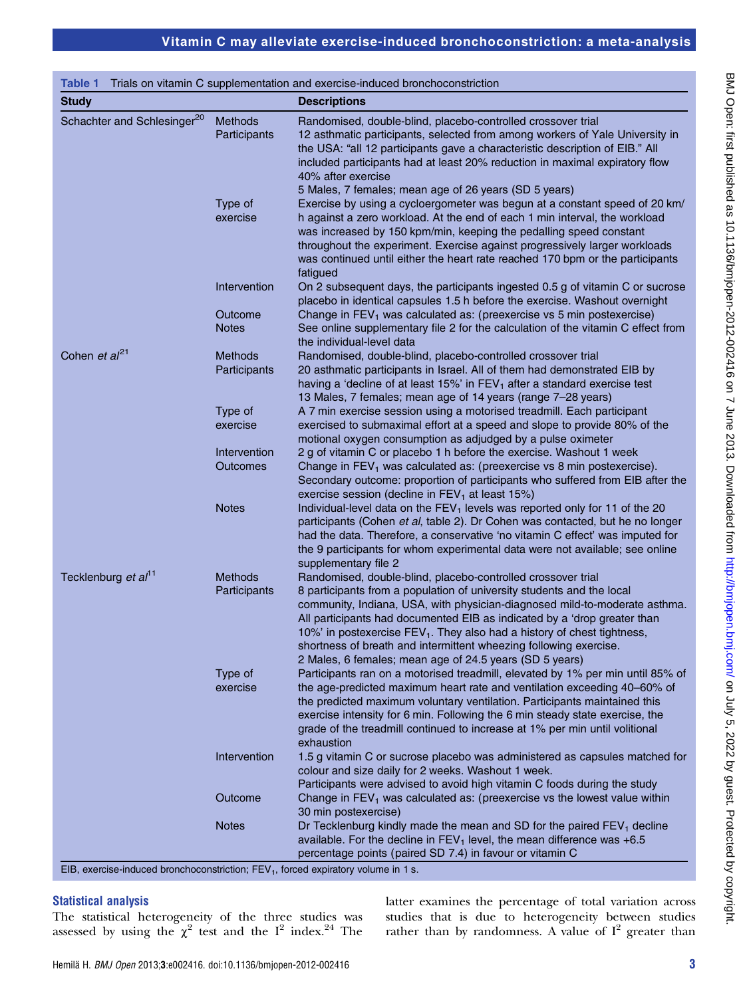| Trials on vitamin C supplementation and exercise-induced bronchoconstriction<br><b>Table 1</b> |                                 |                                                                                                                                                                                                                                                                                                                                                                                                                                                                                                                        |
|------------------------------------------------------------------------------------------------|---------------------------------|------------------------------------------------------------------------------------------------------------------------------------------------------------------------------------------------------------------------------------------------------------------------------------------------------------------------------------------------------------------------------------------------------------------------------------------------------------------------------------------------------------------------|
| <b>Study</b>                                                                                   |                                 | <b>Descriptions</b>                                                                                                                                                                                                                                                                                                                                                                                                                                                                                                    |
| Schachter and Schlesinger <sup>20</sup>                                                        | Methods<br>Participants         | Randomised, double-blind, placebo-controlled crossover trial<br>12 asthmatic participants, selected from among workers of Yale University in<br>the USA: "all 12 participants gave a characteristic description of EIB." All<br>included participants had at least 20% reduction in maximal expiratory flow<br>40% after exercise<br>5 Males, 7 females; mean age of 26 years (SD 5 years)                                                                                                                             |
|                                                                                                | Type of<br>exercise             | Exercise by using a cycloergometer was begun at a constant speed of 20 km/<br>h against a zero workload. At the end of each 1 min interval, the workload<br>was increased by 150 kpm/min, keeping the pedalling speed constant<br>throughout the experiment. Exercise against progressively larger workloads<br>was continued until either the heart rate reached 170 bpm or the participants<br>fatigued                                                                                                              |
|                                                                                                | Intervention                    | On 2 subsequent days, the participants ingested 0.5 g of vitamin C or sucrose<br>placebo in identical capsules 1.5 h before the exercise. Washout overnight                                                                                                                                                                                                                                                                                                                                                            |
|                                                                                                | Outcome<br><b>Notes</b>         | Change in $FEV1$ was calculated as: (preexercise vs 5 min postexercise)<br>See online supplementary file 2 for the calculation of the vitamin C effect from<br>the individual-level data                                                                                                                                                                                                                                                                                                                               |
| Cohen et $al^{21}$                                                                             | <b>Methods</b><br>Participants  | Randomised, double-blind, placebo-controlled crossover trial<br>20 asthmatic participants in Israel. All of them had demonstrated EIB by<br>having a 'decline of at least 15%' in $FEV1$ after a standard exercise test<br>13 Males, 7 females; mean age of 14 years (range 7-28 years)                                                                                                                                                                                                                                |
|                                                                                                | Type of<br>exercise             | A 7 min exercise session using a motorised treadmill. Each participant<br>exercised to submaximal effort at a speed and slope to provide 80% of the<br>motional oxygen consumption as adjudged by a pulse oximeter                                                                                                                                                                                                                                                                                                     |
|                                                                                                | Intervention<br><b>Outcomes</b> | 2 g of vitamin C or placebo 1 h before the exercise. Washout 1 week<br>Change in $FEV1$ was calculated as: (preexercise vs 8 min postexercise).<br>Secondary outcome: proportion of participants who suffered from EIB after the<br>exercise session (decline in $FEV_1$ at least 15%)                                                                                                                                                                                                                                 |
|                                                                                                | <b>Notes</b>                    | Individual-level data on the $FEV1$ levels was reported only for 11 of the 20<br>participants (Cohen et al, table 2). Dr Cohen was contacted, but he no longer<br>had the data. Therefore, a conservative 'no vitamin C effect' was imputed for<br>the 9 participants for whom experimental data were not available; see online<br>supplementary file 2                                                                                                                                                                |
| Tecklenburg et al <sup>11</sup>                                                                | <b>Methods</b><br>Participants  | Randomised, double-blind, placebo-controlled crossover trial<br>8 participants from a population of university students and the local<br>community, Indiana, USA, with physician-diagnosed mild-to-moderate asthma.<br>All participants had documented EIB as indicated by a 'drop greater than<br>10%' in postexercise FEV <sub>1</sub> . They also had a history of chest tightness,<br>shortness of breath and intermittent wheezing following exercise.<br>2 Males, 6 females; mean age of 24.5 years (SD 5 years) |
|                                                                                                | Type of<br>exercise             | Participants ran on a motorised treadmill, elevated by 1% per min until 85% of<br>the age-predicted maximum heart rate and ventilation exceeding 40-60% of<br>the predicted maximum voluntary ventilation. Participants maintained this<br>exercise intensity for 6 min. Following the 6 min steady state exercise, the<br>grade of the treadmill continued to increase at 1% per min until volitional<br>exhaustion                                                                                                   |
|                                                                                                | Intervention                    | 1.5 g vitamin C or sucrose placebo was administered as capsules matched for<br>colour and size daily for 2 weeks. Washout 1 week.<br>Participants were advised to avoid high vitamin C foods during the study                                                                                                                                                                                                                                                                                                          |
|                                                                                                | Outcome                         | Change in $FEV1$ was calculated as: (preexercise vs the lowest value within<br>30 min postexercise)                                                                                                                                                                                                                                                                                                                                                                                                                    |
|                                                                                                | <b>Notes</b>                    | Dr Tecklenburg kindly made the mean and SD for the paired $FEV1$ decline<br>available. For the decline in $FEV1$ level, the mean difference was +6.5<br>percentage points (paired SD 7.4) in favour or vitamin C                                                                                                                                                                                                                                                                                                       |
| EIB, exercise-induced bronchoconstriction; FEV <sub>1</sub> , forced expiratory volume in 1 s. |                                 |                                                                                                                                                                                                                                                                                                                                                                                                                                                                                                                        |

### Statistical analysis

The statistical heterogeneity of the three studies was assessed by using the  $\chi^2$  test and the I<sup>2</sup> index.<sup>24</sup> The latter examines the percentage of total variation across studies that is due to heterogeneity between studies rather than by randomness. A value of  $I^2$  greater than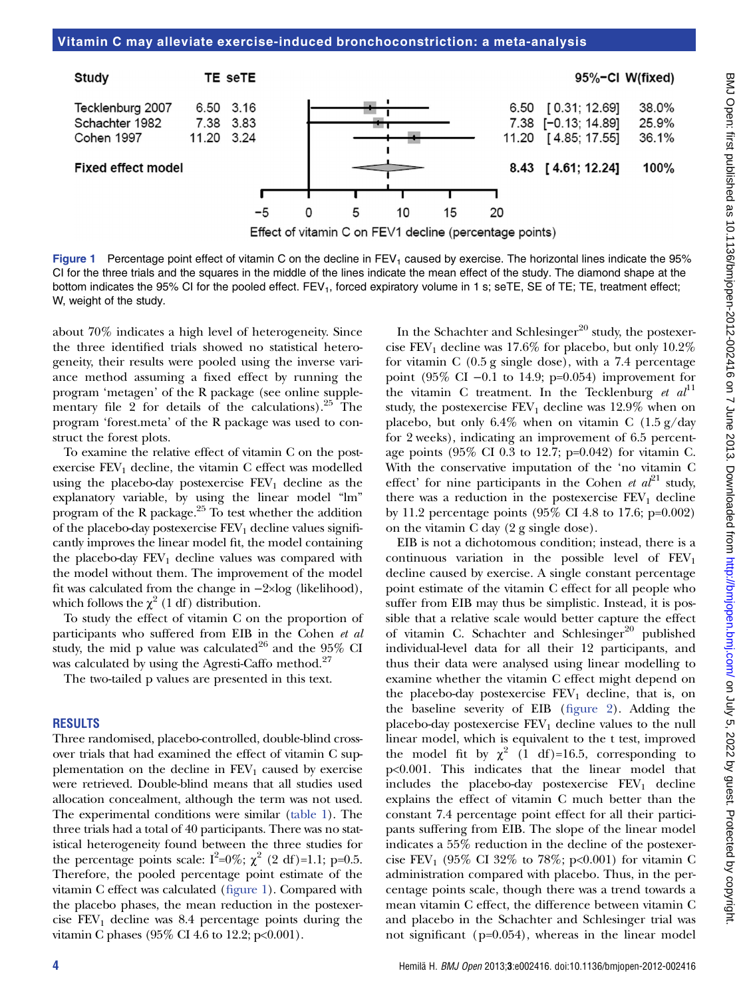

Effect of vitamin C on FEV1 decline (percentage points)

Figure 1 Percentage point effect of vitamin C on the decline in  $FEV<sub>1</sub>$  caused by exercise. The horizontal lines indicate the 95% CI for the three trials and the squares in the middle of the lines indicate the mean effect of the study. The diamond shape at the bottom indicates the 95% CI for the pooled effect. FEV<sub>1</sub>, forced expiratory volume in 1 s; seTE, SE of TE; TE, treatment effect; W, weight of the study.

about 70% indicates a high level of heterogeneity. Since the three identified trials showed no statistical heterogeneity, their results were pooled using the inverse variance method assuming a fixed effect by running the program 'metagen' of the R package (see online supplementary file 2 for details of the calculations).<sup>25</sup> The program 'forest.meta' of the R package was used to construct the forest plots.

To examine the relative effect of vitamin C on the postexercise  $FEV<sub>1</sub>$  decline, the vitamin C effect was modelled using the placebo-day postexercise  $FEV<sub>1</sub>$  decline as the explanatory variable, by using the linear model "lm" program of the R package.<sup>25</sup> To test whether the addition of the placebo-day postexercise  $FEV<sub>1</sub>$  decline values significantly improves the linear model fit, the model containing the placebo-day  $FEV<sub>1</sub>$  decline values was compared with the model without them. The improvement of the model fit was calculated from the change in −2×log (likelihood), which follows the  $\chi^2$  (1 df) distribution.

To study the effect of vitamin C on the proportion of participants who suffered from EIB in the Cohen et al study, the mid p value was calculated<sup>26</sup> and the  $95\%$  CI was calculated by using the Agresti-Caffo method.<sup>27</sup>

The two-tailed p values are presented in this text.

#### RESULTS

Three randomised, placebo-controlled, double-blind crossover trials that had examined the effect of vitamin C supplementation on the decline in  $FEV<sub>1</sub>$  caused by exercise were retrieved. Double-blind means that all studies used allocation concealment, although the term was not used. The experimental conditions were similar (table 1). The three trials had a total of 40 participants. There was no statistical heterogeneity found between the three studies for the percentage points scale:  $I^2=0\%$ ;  $\chi^2$  (2 df)=1.1; p=0.5. Therefore, the pooled percentage point estimate of the vitamin C effect was calculated (figure 1). Compared with the placebo phases, the mean reduction in the postexercise  $FEV<sub>1</sub>$  decline was 8.4 percentage points during the vitamin C phases (95% CI 4.6 to 12.2;  $p<0.001$ ).

In the Schachter and Schlesinger $^{20}$  study, the postexercise  $FEV<sub>1</sub>$  decline was 17.6% for placebo, but only 10.2% for vitamin C (0.5 g single dose), with a 7.4 percentage point (95% CI −0.1 to 14.9; p=0.054) improvement for the vitamin C treatment. In the Tecklenburg et  $al<sup>11</sup>$ study, the postexercise  $FEV_1$  decline was 12.9% when on placebo, but only  $6.4\%$  when on vitamin C  $(1.5 \text{ g/day})$ for 2 weeks), indicating an improvement of 6.5 percentage points (95% CI 0.3 to 12.7; p=0.042) for vitamin C. With the conservative imputation of the 'no vitamin C effect' for nine participants in the Cohen et  $al^{21}$  study, there was a reduction in the postexercise  $FEV<sub>1</sub>$  decline by 11.2 percentage points (95% CI 4.8 to 17.6; p=0.002) on the vitamin C day (2 g single dose).

EIB is not a dichotomous condition; instead, there is a continuous variation in the possible level of  $FEV<sub>1</sub>$ decline caused by exercise. A single constant percentage point estimate of the vitamin C effect for all people who suffer from EIB may thus be simplistic. Instead, it is possible that a relative scale would better capture the effect of vitamin C. Schachter and Schlesinger $^{20}$  published individual-level data for all their 12 participants, and thus their data were analysed using linear modelling to examine whether the vitamin C effect might depend on the placebo-day postexercise  $FEV<sub>1</sub>$  decline, that is, on the baseline severity of EIB (figure 2). Adding the placebo-day postexercise  $FEV<sub>1</sub>$  decline values to the null linear model, which is equivalent to the t test, improved the model fit by  $\chi^2$  (1 df)=16.5, corresponding to p<0.001. This indicates that the linear model that includes the placebo-day postexercise  $FEV<sub>1</sub>$  decline explains the effect of vitamin C much better than the constant 7.4 percentage point effect for all their participants suffering from EIB. The slope of the linear model indicates a 55% reduction in the decline of the postexercise FEV<sub>1</sub> (95% CI 32% to 78%; p<0.001) for vitamin C administration compared with placebo. Thus, in the percentage points scale, though there was a trend towards a mean vitamin C effect, the difference between vitamin C and placebo in the Schachter and Schlesinger trial was not significant (p=0.054), whereas in the linear model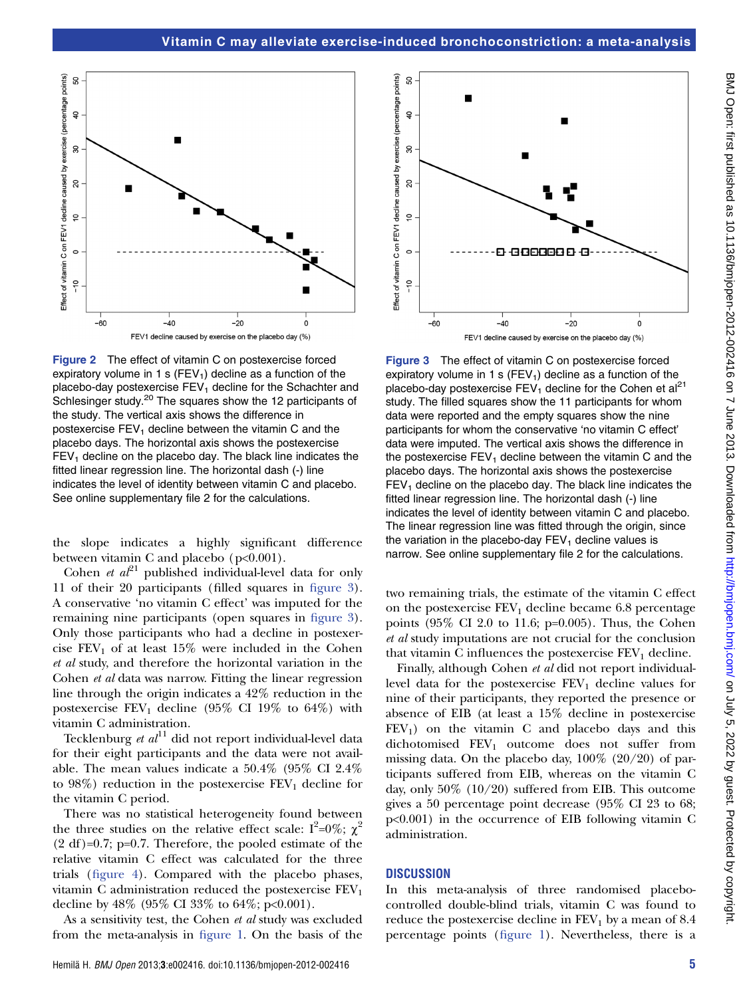

Figure 2 The effect of vitamin C on postexercise forced expiratory volume in 1 s (FEV<sub>1</sub>) decline as a function of the placebo-day postexercise  $FEV<sub>1</sub>$  decline for the Schachter and Schlesinger study.<sup>20</sup> The squares show the 12 participants of the study. The vertical axis shows the difference in postexercise  $FEV<sub>1</sub>$  decline between the vitamin C and the placebo days. The horizontal axis shows the postexercise  $FEV<sub>1</sub>$  decline on the placebo day. The black line indicates the fitted linear regression line. The horizontal dash (-) line indicates the level of identity between vitamin C and placebo. See online supplementary file 2 for the calculations.

the slope indicates a highly significant difference between vitamin C and placebo (p<0.001).

Cohen et  $al^{21}$  published individual-level data for only 11 of their 20 participants (filled squares in figure 3). A conservative 'no vitamin C effect' was imputed for the remaining nine participants (open squares in figure 3). Only those participants who had a decline in postexercise  $FEV<sub>1</sub>$  of at least 15% were included in the Cohen et al study, and therefore the horizontal variation in the Cohen et al data was narrow. Fitting the linear regression line through the origin indicates a 42% reduction in the postexercise  $FEV_1$  decline (95% CI 19% to 64%) with vitamin C administration.

Tecklenburg et  $al<sup>11</sup>$  did not report individual-level data for their eight participants and the data were not available. The mean values indicate a 50.4% (95% CI 2.4% to  $98\%$ ) reduction in the postexercise  $FEV<sub>1</sub>$  decline for the vitamin C period.

There was no statistical heterogeneity found between the three studies on the relative effect scale:  $I^2=0\%$ ;  $\chi^2$  $(2 df)=0.7$ ; p=0.7. Therefore, the pooled estimate of the relative vitamin C effect was calculated for the three trials (figure 4). Compared with the placebo phases, vitamin C administration reduced the postexercise  $FEV<sub>1</sub>$ decline by 48% (95% CI 33% to 64%; p<0.001).

As a sensitivity test, the Cohen et al study was excluded from the meta-analysis in figure 1. On the basis of the



Figure 3 The effect of vitamin C on postexercise forced expiratory volume in 1 s (FEV<sub>1</sub>) decline as a function of the placebo-day postexercise  $FEV<sub>1</sub>$  decline for the Cohen et al<sup>21</sup> study. The filled squares show the 11 participants for whom data were reported and the empty squares show the nine participants for whom the conservative 'no vitamin C effect' data were imputed. The vertical axis shows the difference in the postexercise  $FEV<sub>1</sub>$  decline between the vitamin C and the placebo days. The horizontal axis shows the postexercise  $FEV<sub>1</sub>$  decline on the placebo day. The black line indicates the fitted linear regression line. The horizontal dash (-) line indicates the level of identity between vitamin C and placebo. The linear regression line was fitted through the origin, since the variation in the placebo-day  $FEV<sub>1</sub>$  decline values is narrow. See online supplementary file 2 for the calculations.

two remaining trials, the estimate of the vitamin C effect on the postexercise  $FEV<sub>1</sub>$  decline became 6.8 percentage points (95% CI 2.0 to 11.6; p=0.005). Thus, the Cohen et al study imputations are not crucial for the conclusion that vitamin C influences the postexercise  $FEV<sub>1</sub>$  decline.

Finally, although Cohen et al did not report individuallevel data for the postexercise  $FEV<sub>1</sub>$  decline values for nine of their participants, they reported the presence or absence of EIB (at least a 15% decline in postexercise  $FEV<sub>1</sub>$ ) on the vitamin C and placebo days and this dichotomised FEV<sub>1</sub> outcome does not suffer from missing data. On the placebo day, 100% (20/20) of participants suffered from EIB, whereas on the vitamin C day, only 50% (10/20) suffered from EIB. This outcome gives a 50 percentage point decrease (95% CI 23 to 68; p<0.001) in the occurrence of EIB following vitamin C administration.

#### **DISCUSSION**

In this meta-analysis of three randomised placebocontrolled double-blind trials, vitamin C was found to reduce the postexercise decline in  $FEV<sub>1</sub>$  by a mean of 8.4 percentage points (figure 1). Nevertheless, there is a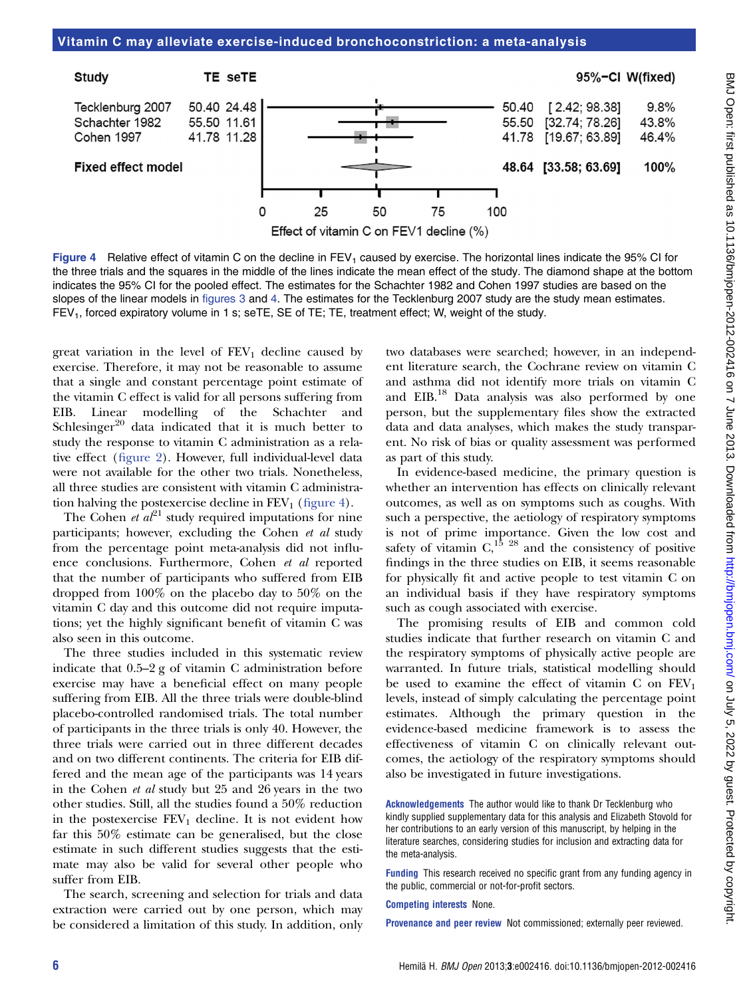

Figure 4 Relative effect of vitamin C on the decline in FEV<sub>1</sub> caused by exercise. The horizontal lines indicate the 95% CI for the three trials and the squares in the middle of the lines indicate the mean effect of the study. The diamond shape at the bottom indicates the 95% CI for the pooled effect. The estimates for the Schachter 1982 and Cohen 1997 studies are based on the slopes of the linear models in figures 3 and 4. The estimates for the Tecklenburg 2007 study are the study mean estimates. FEV<sub>1</sub>, forced expiratory volume in 1 s; seTE, SE of TE; TE, treatment effect; W, weight of the study.

great variation in the level of  $FEV<sub>1</sub>$  decline caused by exercise. Therefore, it may not be reasonable to assume that a single and constant percentage point estimate of the vitamin C effect is valid for all persons suffering from EIB. Linear modelling of the Schachter and Schlesinger<sup>20</sup> data indicated that it is much better to study the response to vitamin C administration as a relative effect (figure 2). However, full individual-level data were not available for the other two trials. Nonetheless, all three studies are consistent with vitamin C administration halving the postexercise decline in  $FEV<sub>1</sub>$  (figure 4).

The Cohen  $et al^{21}$  study required imputations for nine participants; however, excluding the Cohen et al study from the percentage point meta-analysis did not influence conclusions. Furthermore, Cohen et al reported that the number of participants who suffered from EIB dropped from 100% on the placebo day to 50% on the vitamin C day and this outcome did not require imputations; yet the highly significant benefit of vitamin C was also seen in this outcome.

The three studies included in this systematic review indicate that 0.5–2 g of vitamin C administration before exercise may have a beneficial effect on many people suffering from EIB. All the three trials were double-blind placebo-controlled randomised trials. The total number of participants in the three trials is only 40. However, the three trials were carried out in three different decades and on two different continents. The criteria for EIB differed and the mean age of the participants was 14 years in the Cohen et al study but 25 and 26 years in the two other studies. Still, all the studies found a 50% reduction in the postexercise  $FEV<sub>1</sub>$  decline. It is not evident how far this 50% estimate can be generalised, but the close estimate in such different studies suggests that the estimate may also be valid for several other people who suffer from EIB.

The search, screening and selection for trials and data extraction were carried out by one person, which may be considered a limitation of this study. In addition, only

two databases were searched; however, in an independent literature search, the Cochrane review on vitamin C and asthma did not identify more trials on vitamin C and EIB.<sup>18</sup> Data analysis was also performed by one person, but the supplementary files show the extracted data and data analyses, which makes the study transparent. No risk of bias or quality assessment was performed as part of this study.

In evidence-based medicine, the primary question is whether an intervention has effects on clinically relevant outcomes, as well as on symptoms such as coughs. With such a perspective, the aetiology of respiratory symptoms is not of prime importance. Given the low cost and safety of vitamin  $C$ ,<sup>15 28</sup> and the consistency of positive findings in the three studies on EIB, it seems reasonable for physically fit and active people to test vitamin C on an individual basis if they have respiratory symptoms such as cough associated with exercise.

The promising results of EIB and common cold studies indicate that further research on vitamin C and the respiratory symptoms of physically active people are warranted. In future trials, statistical modelling should be used to examine the effect of vitamin C on  $FEV<sub>1</sub>$ levels, instead of simply calculating the percentage point estimates. Although the primary question in the evidence-based medicine framework is to assess the effectiveness of vitamin C on clinically relevant outcomes, the aetiology of the respiratory symptoms should also be investigated in future investigations.

Acknowledgements The author would like to thank Dr Tecklenburg who kindly supplied supplementary data for this analysis and Elizabeth Stovold for her contributions to an early version of this manuscript, by helping in the literature searches, considering studies for inclusion and extracting data for the meta-analysis.

Funding This research received no specific grant from any funding agency in the public, commercial or not-for-profit sectors.

Competing interests None.

Provenance and peer review Not commissioned; externally peer reviewed.